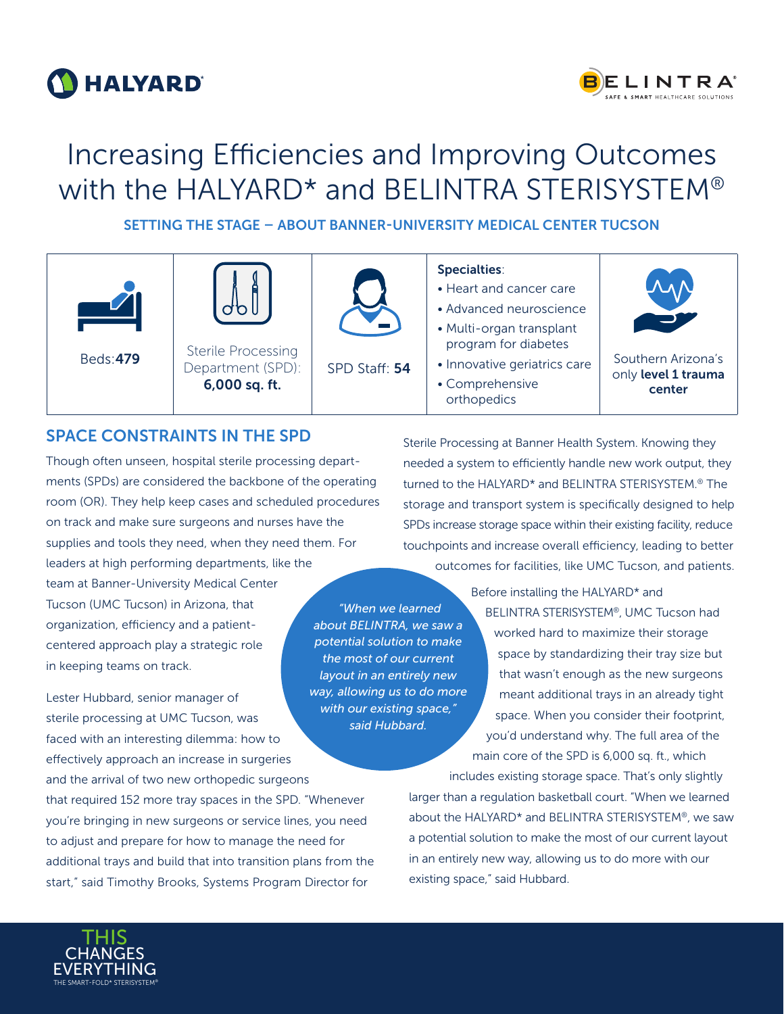



# Increasing Efficiencies and Improving Outcomes with the HALYARD\* and BELINTRA STERISYSTEM®

SETTING THE STAGE – ABOUT BANNER-UNIVERSITY MEDICAL CENTER TUCSON

|                 |                                                                 |               | <b>Specialties:</b><br>• Heart and cancer care<br>• Advanced neuroscience<br>• Multi-organ transplant |                                                     |
|-----------------|-----------------------------------------------------------------|---------------|-------------------------------------------------------------------------------------------------------|-----------------------------------------------------|
| <b>Beds:479</b> | <b>Sterile Processing</b><br>Department (SPD):<br>6,000 sq. ft. | SPD Staff: 54 | program for diabetes<br>• Innovative geriatrics care<br>• Comprehensive<br>orthopedics                | Southern Arizona's<br>only level 1 trauma<br>center |

*layout in an entirely new* 

## SPACE CONSTRAINTS IN THE SPD

Though often unseen, hospital sterile processing departments (SPDs) are considered the backbone of the operating room (OR). They help keep cases and scheduled procedures on track and make sure surgeons and nurses have the supplies and tools they need, when they need them. For leaders at high performing departments, like the team at Banner-University Medical Center Tucson (UMC Tucson) in Arizona, that organization, efficiency and a patientcentered approach play a strategic role *"When we learned about BELINTRA, we saw a potential solution to make the most of our current* 

Lester Hubbard, senior manager of sterile processing at UMC Tucson, was faced with an interesting dilemma: how to effectively approach an increase in surgeries and the arrival of two new orthopedic surgeons that required 152 more tray spaces in the SPD. "Whenever you're bringing in new surgeons or service lines, you need to adjust and prepare for how to manage the need for additional trays and build that into transition plans from the start," said Timothy Brooks, Systems Program Director for *way, allowing us to do more with our existing space," said Hubbard.* 

Sterile Processing at Banner Health System. Knowing they needed a system to efficiently handle new work output, they turned to the HALYARD\* and BELINTRA STERISYSTEM.® The storage and transport system is specifically designed to help SPDs increase storage space within their existing facility, reduce touchpoints and increase overall efficiency, leading to better outcomes for facilities, like UMC Tucson, and patients.

> Before installing the HALYARD\* and BELINTRA STERISYSTEM®, UMC Tucson had worked hard to maximize their storage space by standardizing their tray size but that wasn't enough as the new surgeons meant additional trays in an already tight space. When you consider their footprint, you'd understand why. The full area of the main core of the SPD is 6,000 sq. ft., which

includes existing storage space. That's only slightly larger than a regulation basketball court. "When we learned about the HALYARD\* and BELINTRA STERISYSTEM®, we saw a potential solution to make the most of our current layout in an entirely new way, allowing us to do more with our existing space," said Hubbard.



in keeping teams on track.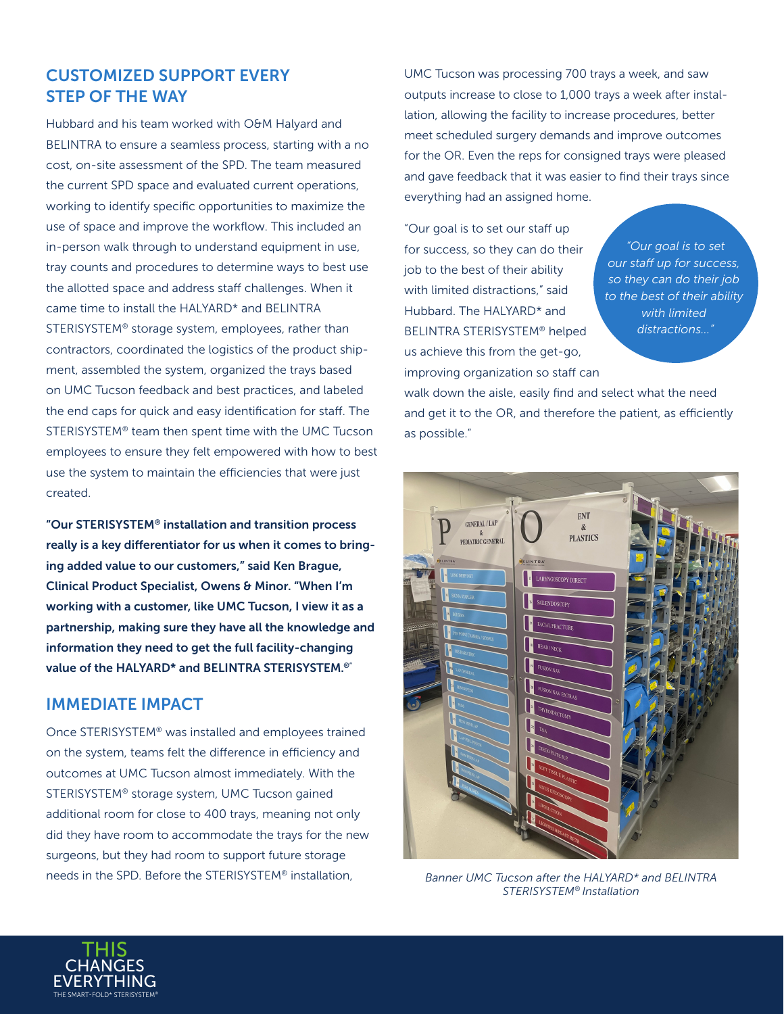## CUSTOMIZED SUPPORT EVERY STEP OF THE WAY

Hubbard and his team worked with O&M Halyard and BELINTRA to ensure a seamless process, starting with a no cost, on-site assessment of the SPD. The team measured the current SPD space and evaluated current operations, working to identify specific opportunities to maximize the use of space and improve the workflow. This included an in-person walk through to understand equipment in use, tray counts and procedures to determine ways to best use the allotted space and address staff challenges. When it came time to install the HALYARD\* and BELINTRA STERISYSTEM® storage system, employees, rather than contractors, coordinated the logistics of the product shipment, assembled the system, organized the trays based on UMC Tucson feedback and best practices, and labeled the end caps for quick and easy identification for staff. The STERISYSTEM® team then spent time with the UMC Tucson employees to ensure they felt empowered with how to best use the system to maintain the efficiencies that were just created.

"Our STERISYSTEM® installation and transition process really is a key differentiator for us when it comes to bringing added value to our customers," said Ken Brague, Clinical Product Specialist, Owens & Minor. "When I'm working with a customer, like UMC Tucson, I view it as a partnership, making sure they have all the knowledge and information they need to get the full facility-changing value of the HALYARD\* and BELINTRA STERISYSTEM.®"

#### IMMEDIATE IMPACT

Once STERISYSTEM® was installed and employees trained on the system, teams felt the difference in efficiency and outcomes at UMC Tucson almost immediately. With the STERISYSTEM® storage system, UMC Tucson gained additional room for close to 400 trays, meaning not only did they have room to accommodate the trays for the new surgeons, but they had room to support future storage needs in the SPD. Before the STERISYSTEM® installation,

UMC Tucson was processing 700 trays a week, and saw outputs increase to close to 1,000 trays a week after installation, allowing the facility to increase procedures, better meet scheduled surgery demands and improve outcomes for the OR. Even the reps for consigned trays were pleased and gave feedback that it was easier to find their trays since everything had an assigned home.

"Our goal is to set our staff up for success, so they can do their job to the best of their ability with limited distractions," said Hubbard. The HALYARD\* and BELINTRA STERISYSTEM® helped us achieve this from the get-go, improving organization so staff can

*"Our goal is to set our staff up for success, so they can do their job to the best of their ability with limited distractions..."*

walk down the aisle, easily find and select what the need and get it to the OR, and therefore the patient, as efficiently as possible."



*Banner UMC Tucson after the HALYARD\* and BELINTRA STERISYSTEM® Installation*